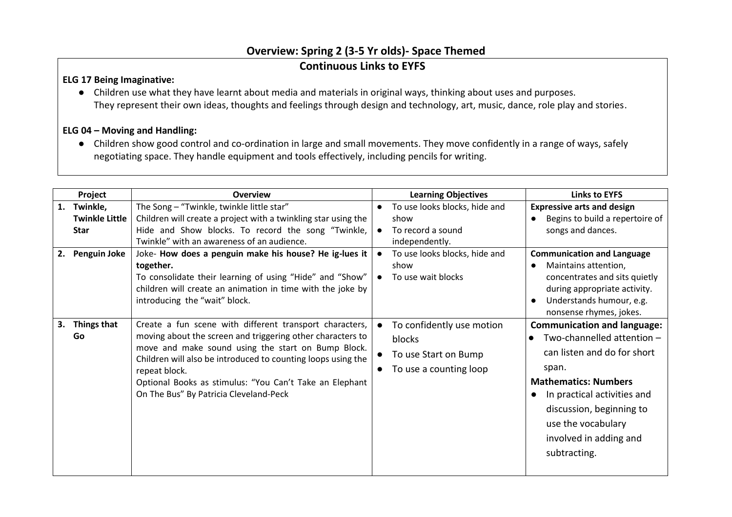## **Overview: Spring 2 (3-5 Yr olds)- Space Themed**

## **Continuous Links to EYFS**

## **ELG 17 Being Imaginative:**

● Children use what they have learnt about media and materials in original ways, thinking about uses and purposes. They represent their own ideas, thoughts and feelings through design and technology, art, music, dance, role play and stories.

## **ELG 04 – Moving and Handling:**

● Children show good control and co-ordination in large and small movements. They move confidently in a range of ways, safely negotiating space. They handle equipment and tools effectively, including pencils for writing.

|          | Project                                                                 | <b>Overview</b>                                                                                                                                                                                                                                                                                                                                                                                                                                                  | <b>Learning Objectives</b>                                                                                                                  | <b>Links to EYFS</b>                                                                                                                                                                                                                                                                                                                                                     |
|----------|-------------------------------------------------------------------------|------------------------------------------------------------------------------------------------------------------------------------------------------------------------------------------------------------------------------------------------------------------------------------------------------------------------------------------------------------------------------------------------------------------------------------------------------------------|---------------------------------------------------------------------------------------------------------------------------------------------|--------------------------------------------------------------------------------------------------------------------------------------------------------------------------------------------------------------------------------------------------------------------------------------------------------------------------------------------------------------------------|
| 1.<br>2. | Twinkle,<br><b>Twinkle Little</b><br><b>Star</b><br><b>Penguin Joke</b> | The Song - "Twinkle, twinkle little star"<br>Children will create a project with a twinkling star using the<br>Hide and Show blocks. To record the song "Twinkle,<br>Twinkle" with an awareness of an audience.<br>Joke- How does a penguin make his house? He ig-lues it  <br>together.<br>To consolidate their learning of using "Hide" and "Show"                                                                                                             | To use looks blocks, hide and<br>show<br>To record a sound<br>independently.<br>To use looks blocks, hide and<br>show<br>To use wait blocks | <b>Expressive arts and design</b><br>Begins to build a repertoire of<br>$\bullet$<br>songs and dances.<br><b>Communication and Language</b><br>Maintains attention,<br>$\bullet$<br>concentrates and sits quietly                                                                                                                                                        |
| 3.       | Things that<br>Go                                                       | children will create an animation in time with the joke by<br>introducing the "wait" block.<br>Create a fun scene with different transport characters,<br>moving about the screen and triggering other characters to<br>move and make sound using the start on Bump Block.<br>Children will also be introduced to counting loops using the<br>repeat block.<br>Optional Books as stimulus: "You Can't Take an Elephant<br>On The Bus" By Patricia Cleveland-Peck | To confidently use motion<br>blocks<br>To use Start on Bump<br>To use a counting loop                                                       | during appropriate activity.<br>Understands humour, e.g.<br>$\bullet$<br>nonsense rhymes, jokes.<br><b>Communication and language:</b><br>Two-channelled attention $-$<br>can listen and do for short<br>span.<br><b>Mathematics: Numbers</b><br>In practical activities and<br>discussion, beginning to<br>use the vocabulary<br>involved in adding and<br>subtracting. |